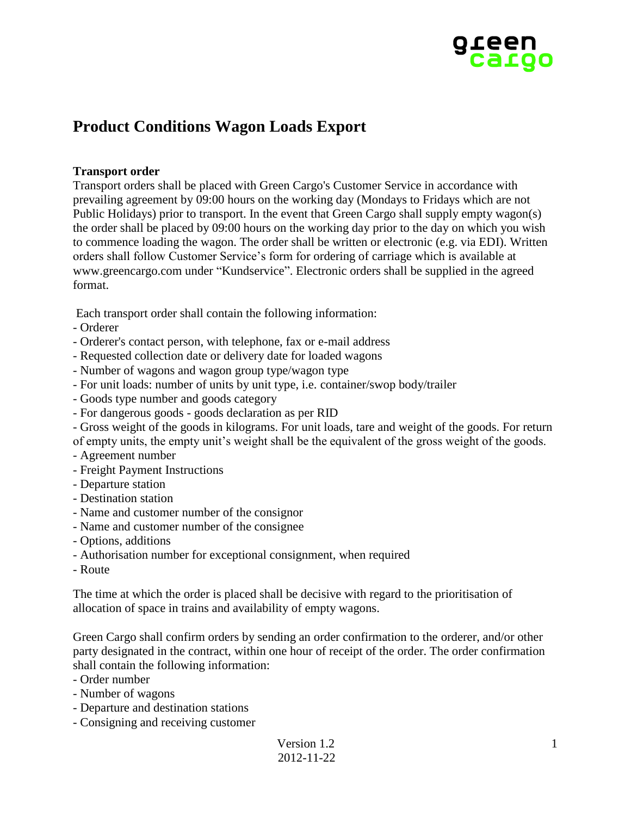

# **Product Conditions Wagon Loads Export**

# **Transport order**

Transport orders shall be placed with Green Cargo's Customer Service in accordance with prevailing agreement by 09:00 hours on the working day (Mondays to Fridays which are not Public Holidays) prior to transport. In the event that Green Cargo shall supply empty wagon(s) the order shall be placed by 09:00 hours on the working day prior to the day on which you wish to commence loading the wagon. The order shall be written or electronic (e.g. via EDI). Written orders shall follow Customer Service's form for ordering of carriage which is available at www.greencargo.com under "Kundservice". Electronic orders shall be supplied in the agreed format.

Each transport order shall contain the following information:

- Orderer
- Orderer's contact person, with telephone, fax or e-mail address
- Requested collection date or delivery date for loaded wagons
- Number of wagons and wagon group type/wagon type
- For unit loads: number of units by unit type, i.e. container/swop body/trailer
- Goods type number and goods category
- For dangerous goods goods declaration as per RID
- Gross weight of the goods in kilograms. For unit loads, tare and weight of the goods. For return of empty units, the empty unit's weight shall be the equivalent of the gross weight of the goods.
- Agreement number
- Freight Payment Instructions
- Departure station
- Destination station
- Name and customer number of the consignor
- Name and customer number of the consignee
- Options, additions
- Authorisation number for exceptional consignment, when required
- Route

The time at which the order is placed shall be decisive with regard to the prioritisation of allocation of space in trains and availability of empty wagons.

Green Cargo shall confirm orders by sending an order confirmation to the orderer, and/or other party designated in the contract, within one hour of receipt of the order. The order confirmation shall contain the following information:

- Order number
- Number of wagons
- Departure and destination stations
- Consigning and receiving customer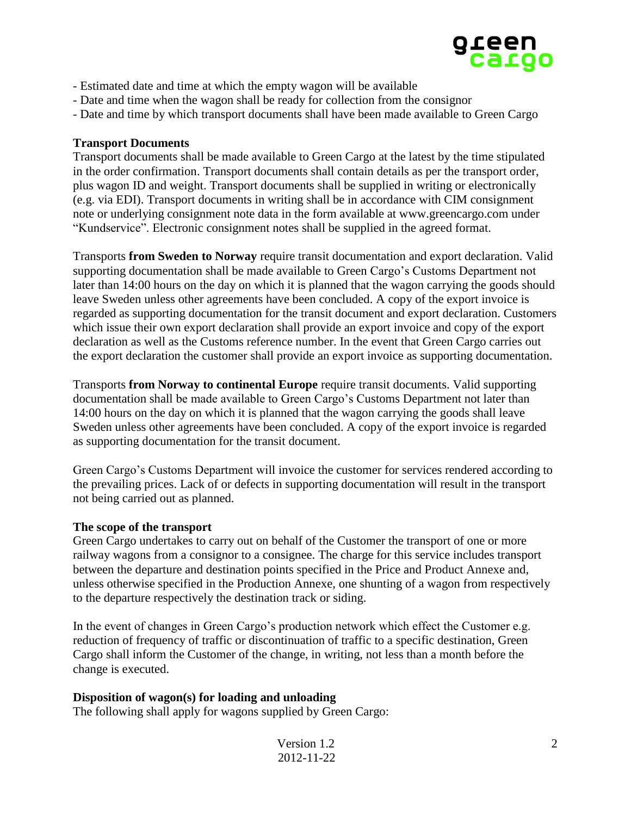

- Estimated date and time at which the empty wagon will be available
- Date and time when the wagon shall be ready for collection from the consignor
- Date and time by which transport documents shall have been made available to Green Cargo

#### **Transport Documents**

Transport documents shall be made available to Green Cargo at the latest by the time stipulated in the order confirmation. Transport documents shall contain details as per the transport order, plus wagon ID and weight. Transport documents shall be supplied in writing or electronically (e.g. via EDI). Transport documents in writing shall be in accordance with CIM consignment note or underlying consignment note data in the form available at www.greencargo.com under "Kundservice". Electronic consignment notes shall be supplied in the agreed format.

Transports **from Sweden to Norway** require transit documentation and export declaration. Valid supporting documentation shall be made available to Green Cargo's Customs Department not later than 14:00 hours on the day on which it is planned that the wagon carrying the goods should leave Sweden unless other agreements have been concluded. A copy of the export invoice is regarded as supporting documentation for the transit document and export declaration. Customers which issue their own export declaration shall provide an export invoice and copy of the export declaration as well as the Customs reference number. In the event that Green Cargo carries out the export declaration the customer shall provide an export invoice as supporting documentation.

Transports **from Norway to continental Europe** require transit documents. Valid supporting documentation shall be made available to Green Cargo's Customs Department not later than 14:00 hours on the day on which it is planned that the wagon carrying the goods shall leave Sweden unless other agreements have been concluded. A copy of the export invoice is regarded as supporting documentation for the transit document.

Green Cargo's Customs Department will invoice the customer for services rendered according to the prevailing prices. Lack of or defects in supporting documentation will result in the transport not being carried out as planned.

#### **The scope of the transport**

Green Cargo undertakes to carry out on behalf of the Customer the transport of one or more railway wagons from a consignor to a consignee. The charge for this service includes transport between the departure and destination points specified in the Price and Product Annexe and, unless otherwise specified in the Production Annexe, one shunting of a wagon from respectively to the departure respectively the destination track or siding.

In the event of changes in Green Cargo's production network which effect the Customer e.g. reduction of frequency of traffic or discontinuation of traffic to a specific destination, Green Cargo shall inform the Customer of the change, in writing, not less than a month before the change is executed.

#### **Disposition of wagon(s) for loading and unloading**

The following shall apply for wagons supplied by Green Cargo:

| Version 1.2 |  |
|-------------|--|
| 2012-11-22  |  |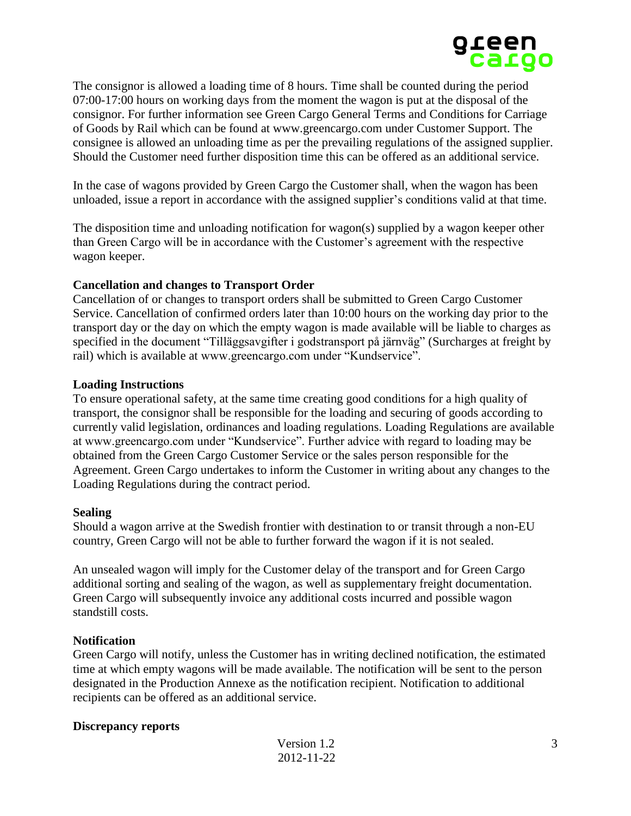

The consignor is allowed a loading time of 8 hours. Time shall be counted during the period 07:00-17:00 hours on working days from the moment the wagon is put at the disposal of the consignor. For further information see Green Cargo General Terms and Conditions for Carriage of Goods by Rail which can be found at www.greencargo.com under Customer Support. The consignee is allowed an unloading time as per the prevailing regulations of the assigned supplier. Should the Customer need further disposition time this can be offered as an additional service.

In the case of wagons provided by Green Cargo the Customer shall, when the wagon has been unloaded, issue a report in accordance with the assigned supplier's conditions valid at that time.

The disposition time and unloading notification for wagon(s) supplied by a wagon keeper other than Green Cargo will be in accordance with the Customer's agreement with the respective wagon keeper.

# **Cancellation and changes to Transport Order**

Cancellation of or changes to transport orders shall be submitted to Green Cargo Customer Service. Cancellation of confirmed orders later than 10:00 hours on the working day prior to the transport day or the day on which the empty wagon is made available will be liable to charges as specified in the document "Tilläggsavgifter i godstransport på järnväg" (Surcharges at freight by rail) which is available at www.greencargo.com under "Kundservice".

#### **Loading Instructions**

To ensure operational safety, at the same time creating good conditions for a high quality of transport, the consignor shall be responsible for the loading and securing of goods according to currently valid legislation, ordinances and loading regulations. Loading Regulations are available at www.greencargo.com under "Kundservice". Further advice with regard to loading may be obtained from the Green Cargo Customer Service or the sales person responsible for the Agreement. Green Cargo undertakes to inform the Customer in writing about any changes to the Loading Regulations during the contract period.

#### **Sealing**

Should a wagon arrive at the Swedish frontier with destination to or transit through a non-EU country, Green Cargo will not be able to further forward the wagon if it is not sealed.

An unsealed wagon will imply for the Customer delay of the transport and for Green Cargo additional sorting and sealing of the wagon, as well as supplementary freight documentation. Green Cargo will subsequently invoice any additional costs incurred and possible wagon standstill costs.

# **Notification**

Green Cargo will notify, unless the Customer has in writing declined notification, the estimated time at which empty wagons will be made available. The notification will be sent to the person designated in the Production Annexe as the notification recipient. Notification to additional recipients can be offered as an additional service.

#### **Discrepancy reports**

| Version 1.2 |  |  |
|-------------|--|--|
| 2012-11-22  |  |  |

3